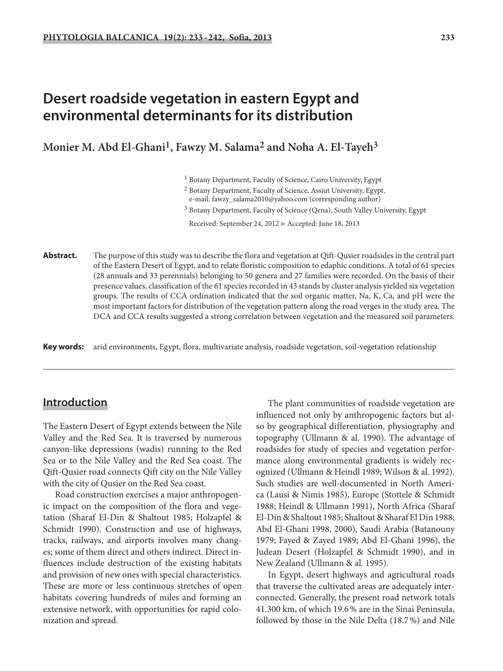# **Desert roadside vegetation in eastern Egypt and environmental determinants for its distribution**

**Monier M. Abd El-Ghani1, Fawzy M. Salama2 and Noha A. El-Tayeh3**

- 2 Botany Department, Faculty of Science, Assiut University, Egypt,
- e-mail: fawzy\_salama2010@yahoo.com (corresponding author)
- <sup>3</sup> Botany Department, Faculty of Science (Qena), South Valley University, Egypt

Received: September 24, 2012 ▷ Accepted: June 18, 2013

**Abstract.** The purpose of this study was to describe the flora and vegetation at Qift-Qusier roadsides in the central part of the Eastern Desert of Egypt, and to relate floristic composition to edaphic conditions. A total of 61 species (28 annuals and 33 perennials) belonging to 50 genera and 27 families were recorded. On the basis of their presence values, classification of the 61 species recorded in 43 stands by cluster analysis yielded six vegetation groups. The results of CCA ordination indicated that the soil organic matter, Na, K, Ca, and pH were the most important factors for distribution of the vegetation pattern along the road verges in the study area. The DCA and CCA results suggested a strong correlation between vegetation and the measured soil parameters.

**Key words:** arid environments, Egypt, flora, multivariate analysis, roadside vegetation, soil-vegetation relationship

### **Introduction ntroduction**

The Eastern Desert of Egypt extends between the Nile Valley and the Red Sea. It is traversed by numerous canyon-like depressions (wadis) running to the Red Sea or to the Nile Valley and the Red Sea coast. The Qift-Qusier road connects Qift city on the Nile Valley with the city of Qusier on the Red Sea coast.

Road construction exercises a major anthropogenic impact on the composition of the flora and vegetation (Sharaf El-Din & Shaltout 1985; Holzapfel & Schmidt 1990). Construction and use of highways, tracks, railways, and airports involves many changes; some of them direct and others indirect. Direct influences include destruction of the existing habitats and provision of new ones with special characteristics. These are more or less continuous stretches of open habitats covering hundreds of miles and forming an extensive network, with opportunities for rapid colonization and spread.

The plant communities of roadside vegetation are influenced not only by anthropogenic factors but also by geographical differentiation, physiography and topography (Ullmann & al. 1990). The advantage of roadsides for study of species and vegetation performance along environmental gradients is widely recognized (Ullmann & Heindl 1989; Wilson & al. 1992). Such studies are well-documented in North America (Lausi & Nimis 1985), Europe (Stottele & Schmidt 1988; Heindl & Ullmann 1991), North Africa (Sharaf El-Din & Shaltout 1985; Shaltout & Sharaf El Din 1988; Abd El-Ghani 1998, 2000), Saudi Arabia (Batanouny 1979; Fayed & Zayed 1989; Abd El-Ghani 1996), the Judean Desert (Holzapfel & Schmidt 1990), and in New Zealand (Ullmann & al. 1995).

In Egypt, desert highways and agricultural roads that traverse the cultivated areas are adequately interconnected. Generally, the present road network totals 41.300 km, of which 19.6 % are in the Sinai Peninsula, followed by those in the Nile Delta (18.7 %) and Nile

<sup>1</sup> Botany Department, Faculty of Science, Cairo University, Egypt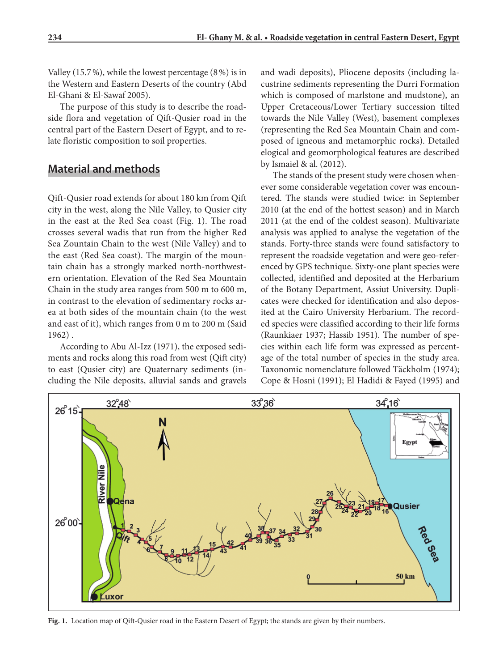Valley (15.7 %), while the lowest percentage (8 %) is in the Western and Eastern Deserts of the country (Abd El-Ghani & El-Sawaf 2005).

The purpose of this study is to describe the roadside flora and vegetation of Qift-Qusier road in the central part of the Eastern Desert of Egypt, and to relate floristic composition to soil properties.

## **Material and methods**

Qift-Qusier road extends for about 180 km from Qift city in the west, along the Nile Valley, to Qusier city in the east at the Red Sea coast (Fig. 1). The road crosses several wadis that run from the higher Red Sea Zountain Chain to the west (Nile Valley) and to the east (Red Sea coast). The margin of the mountain chain has a strongly marked north-northwestern orientation. Elevation of the Red Sea Mountain Chain in the study area ranges from 500 m to 600 m, in contrast to the elevation of sedimentary rocks area at both sides of the mountain chain (to the west and east of it), which ranges from 0 m to 200 m (Said 1962) .

According to Abu Al-Izz (1971), the exposed sediments and rocks along this road from west (Qift city) to east (Qusier city) are Quaternary sediments (including the Nile deposits, alluvial sands and gravels and wadi deposits), Pliocene deposits (including lacustrine sediments representing the Durri Formation which is composed of marlstone and mudstone), an Upper Cretaceous/Lower Tertiary succession tilted towards the Nile Valley (West), basement complexes (representing the Red Sea Mountain Chain and composed of igneous and metamorphic rocks). Detailed elogical and geomorphological features are described by Ismaiel & al. (2012).

The stands of the present study were chosen whenever some considerable vegetation cover was encountered. The stands were studied twice: in September 2010 (at the end of the hottest season) and in March 2011 (at the end of the coldest season). Multivariate analysis was applied to analyse the vegetation of the stands. Forty-three stands were found satisfactory to represent the roadside vegetation and were geo-referenced by GPS technique. Sixty-one plant species were collected, identified and deposited at the Herbarium of the Botany Department, Assiut University. Duplicates were checked for identification and also deposited at the Cairo University Herbarium. The recorded species were classified according to their life forms (Raunkiaer 1937; Hassib 1951). The number of species within each life form was expressed as percentage of the total number of species in the study area. Taxonomic nomenclature followed Täckholm (1974); Cope & Hosni (1991); El Hadidi & Fayed (1995) and



Fig. 1. Location map of Qift-Qusier road in the Eastern Desert of Egypt; the stands are given by their numbers.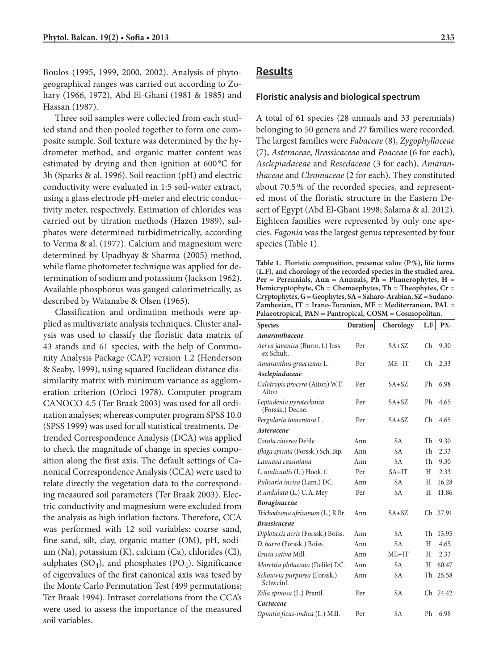Boulos (1995, 1999, 2000, 2002). Analysis of phytogeographical ranges was carried out according to Zohary (1966, 1972), Abd El-Ghani (1981 & 1985) and Hassan (1987).

Three soil samples were collected from each studied stand and then pooled together to form one composite sample. Soil texture was determined by the hydrometer method, and organic matter content was estimated by drying and then ignition at 600 °C for 3h (Sparks & al. 1996). Soil reaction (pH) and electric conductivity were evaluated in 1:5 soil-water extract, using a glass electrode pH-meter and electric conductivity meter, respectively. Estimation of chlorides was carried out by titration methods (Hazen 1989), sulphates were determined turbidimetrically, according to Verma & al. (1977). Calcium and magnesium were determined by Upadhyay & Sharma (2005) method, while flame photometer technique was applied for determination of sodium and potassium (Jackson 1962). Available phosphorus was gauged calorimetrically, as described by Watanabe & Olsen (1965).

Classification and ordination methods were applied as multivariate analysis techniques. Cluster analysis was used to classify the floristic data matrix of 43 stands and 61 species, with the help of Community Analysis Package (CAP) version 1.2 (Henderson & Seaby, 1999), using squared Euclidean distance dissimilarity matrix with minimum variance as agglomeration criterion (Orloci 1978). Computer program CANOCO 4.5 (Ter Braak 2003) was used for all ordination analyses; whereas computer program SPSS 10.0 (SPSS 1999) was used for all statistical treatments. Detrended Correspondence Analysis (DCA) was applied to check the magnitude of change in species composition along the first axis. The default settings of Canonical Correspondence Analysis (CCA) were used to relate directly the vegetation data to the corresponding measured soil parameters (Ter Braak 2003). Electric conductivity and magnesium were excluded from the analysis as high inflation factors. Therefore, CCA was performed with 12 soil variables: coarse sand, fine sand, silt, clay, organic matter (OM), pH, sodium (Na), potassium (K), calcium (Ca), chlorides (Cl), sulphates  $(SO_4)$ , and phosphates  $(PO_4)$ . Significance of eigenvalues of the first canonical axis was tesed by the Monte Carlo Permutation Test (499 permutations; Ter Braak 1994). Intraset correlations from the CCA's were used to assess the importance of the measured soil variables.

### **Results**

#### **Floristic analysis and biological spectrum loristic**

A total of 61 species (28 annuals and 33 perennials) belonging to 50 genera and 27 families were recorded. The largest families were *Fabaceae* (8), *Zygophyllaceae* (7), *Asteraceae*, *Brassicaceae* and *Poaceae* (6 for each), *Asclepiadaceae* and *Resedaceae* (3 for each), *Amaranthaceae* and *Cleomaceae* (2 for each). They constituted about 70.5 % of the recorded species, and represented most of the floristic structure in the Eastern Desert of Egypt (Abd El-Ghani 1998; Salama & al. 2012). Eighteen families were represented by only one species. *Fagonia* was the largest genus represented by four species (Table 1).

**Table 1. Floristic composition, presence value (P %), life forms (L.F), and chorology of the recorded species in the studied area.**   $Per = Perennials$ ,  $\hat{Ann} = Annuals$ ,  $\hat{Ph} = Phanerophytes$ ,  $H =$ **Hemicryptophyte, Ch = Chemaephytes, Th = Theophytes, Cr = Cryptophytes, G = Geophytes, SA = Saharo-Arabian, SZ = Sudano-Zambezian, IT = Irano-Turanian, ME = Mediterranean, PAL = Palaeotropical, PAN = Pantropical, COSM = Cosmopolitan.**

| <b>Species</b>                                | <b>Duration</b>  | Chorology | L.F | P%    |
|-----------------------------------------------|------------------|-----------|-----|-------|
| Amaranthaceae                                 |                  |           |     |       |
| Aerva javanica (Burm. f.) Juss.<br>ex Schult. | Per<br>$SA + SZ$ |           | Ch  | 9.30  |
| Amaranthus graecizans L.                      | Per              | $ME+IT$   |     | 2.33  |
| Asclepiadaceae                                |                  |           |     |       |
| Calotropis procera (Aiton) W.T.<br>Aiton      | $SA + SZ$<br>Per |           | Ph  | 6.98  |
| Leptadenia pyrotechnica<br>(Forssk.) Decne.   | $SA + SZ$<br>Per |           | Ph  | 4.65  |
| Pergularia tomentosa L.                       | Per              | $SA + SZ$ | Ch  | 4.65  |
| Asteraceae                                    |                  |           |     |       |
| Cotula cinerea Delile                         | Ann              | <b>SA</b> | Th  | 9.30  |
| Ifloga spicata (Forssk.) Sch. Bip.            | Ann              | <b>SA</b> |     | 2.33  |
| Launaea cassiniana                            | Ann              | <b>SA</b> |     | 9.30  |
| L. nudicaulis (L.) Hook. f.                   | Per              | $SA+IT$   |     | 2.33  |
| Pulicaria incisa (Lam.) DC.                   | Ann              | <b>SA</b> |     | 16.28 |
| P. undulata (L.) C. A. Mey                    | <b>SA</b><br>Per |           | H   | 41.86 |
| <b>Boraginaceae</b>                           |                  |           |     |       |
| Trichodesma africanum (L.) R.Br.              | Ann              | $SA + SZ$ | Ch  | 27.91 |
| <b>Brassicaceae</b>                           |                  |           |     |       |
| Diplotaxis acris (Forssk.) Boiss.             | Ann              | <b>SA</b> | Th  | 13.95 |
| D. harra (Forssk.) Boiss.                     | <b>SA</b><br>Ann |           | H   | 4.65  |
| Eruca sativa Mill.                            | $ME+IT$<br>Ann   |           | H   | 2.33  |
| Morettia philaeana (Delile) DC.               | Ann              | <b>SA</b> | H   | 60.47 |
| Schouwia purpurea (Forssk.)<br>Schweinf.      | Ann              | <b>SA</b> | Th  | 25.58 |
| Zilla spinosa (L.) Prantl.                    | Per              | <b>SA</b> | Ch  | 74.42 |
| Cactaceae                                     |                  |           |     |       |
| Opuntia ficus-indica (L.) Mill.               | Per              | <b>SA</b> | Ph  | 6.98  |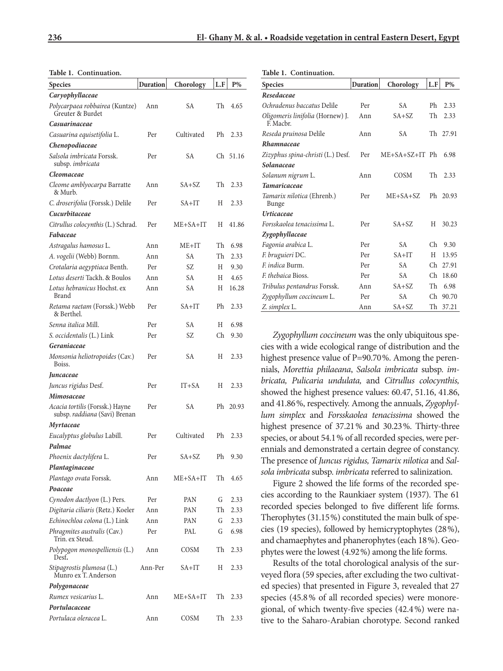**Table 1. Continuation.**

**Table 1. Continuation.**

| <b>Species</b>                                                   | Duration | Chorology      | L.F | $P\%$    |
|------------------------------------------------------------------|----------|----------------|-----|----------|
| Caryophyllaceae                                                  |          |                |     |          |
| Polycarpaea robbairea (Kuntze)<br>Greuter & Burdet               | Ann      | SА             | Th  | 4.65     |
| Casuarinaceae                                                    |          |                |     |          |
| Casuarina equisetifolia L.                                       | Per      | Cultivated     | Ph  | 2.33     |
| Chenopodiaceae                                                   |          |                |     |          |
| Salsola imbricata Forssk.<br>subsp. imbricata                    | Per      | SА             |     | Ch 51.16 |
| Cleomaceae                                                       |          |                |     |          |
| Cleome amblyocarpa Barratte<br>& Murb.                           | Ann      | SA+SZ          | Th  | 2.33     |
| C. droserifolia (Forssk.) Delile                                 | Per      | SA+IT          | Н   | 2.33     |
| Cucurbitaceae                                                    |          |                |     |          |
| Citrullus colocynthis (L.) Schrad.                               | Per      | $ME + SA + IT$ | Н   | 41.86    |
| Fabaceae                                                         |          |                |     |          |
| Astragalus hamosus L.                                            | Ann      | ME+IT          | Th  | 6.98     |
| A. vogelii (Webb) Bornm.                                         | Ann      | SА             | Th  | 2.33     |
| Crotalaria aegyptiaca Benth.                                     | Per      | SZ             | Н   | 9.30     |
| Lotus deserti Tackh. & Boulos                                    | Ann      | SА             | Н   | 4.65     |
| Lotus hebranicus Hochst. ex<br>Brand                             | Ann      | SА             | Н   | 16.28    |
| Retama raetam (Forssk.) Webb<br>& Berthel.                       | Per      | $SA+IT$        | Ph  | 2.33     |
| Senna italica Mill.                                              | Per      | SА             | Н   | 6.98     |
| S. occidentalis (L.) Link                                        | Per      | SZ             | Ch  | 9.30     |
| Geraniaceae                                                      |          |                |     |          |
| Monsonia heliotropoides (Cav.)<br>Boiss.                         | Per      | SА             | Н   | 2.33     |
| Juncaceae                                                        |          |                |     |          |
| Juncus rigidus Desf.                                             | Per      | $IT+SA$        | Н   | 2.33     |
| Mimosaceae                                                       |          |                |     |          |
| Acacia tortilis (Forssk.) Hayne<br>subsp. raddiana (Savi) Brenan | Per      | SА             |     | Ph 20.93 |
| Myrtaceae                                                        |          |                |     |          |
| Eucalyptus globulus Labill.                                      | Per      | Cultivated     | Ph  | 2.33     |
| Palmae                                                           |          |                |     |          |
| Phoenix dactylifera L.                                           | Per      | $SA + SZ$      | Ph  | 9.30     |
| Plantaginaceae                                                   |          |                |     |          |
| Plantago ovata Forssk.                                           | Ann      | ME+SA+IT       | Th  | 4.65     |
| Poaceae                                                          |          |                |     |          |
| Cynodon dactlyon (L.) Pers.                                      | Per      | PAN            | G   | 2.33     |
| Digitaria ciliaris (Retz.) Koeler                                | Ann      | PAN            | Th  | 2.33     |
| Echinochloa colona (L.) Link                                     | Ann      | PAN            | G   | 2.33     |
| Phragmites australis (Cav.)<br>Trin. ex Steud.                   | Per      | PAL            | G   | 6.98     |
| Polypogon monospelliensis (L.)<br>Desf.                          | Ann      | COSM           | Th  | 2.33     |
| Stipagrostis plumosa (L.)<br>Munro ex T. Anderson                | Ann-Per  | SA+IT          | Н   | 2.33     |
| Polygonaceae                                                     |          |                |     |          |
| Rumex vesicarius L.                                              | Ann      | ME+SA+IT       | Th  | 2.33     |
| Portulacaceae                                                    |          |                |     |          |
| Portulaca oleracea L.                                            | Ann      | COSM           | Th  | 2.33     |

| <b>Species</b>                                | <b>Duration</b> | Chorology        | L.F | $P\%$    |
|-----------------------------------------------|-----------------|------------------|-----|----------|
| Resedaceae                                    |                 |                  |     |          |
| Ochradenus baccatus Delile                    | Per             | <b>SA</b>        | Ph  | 2.33     |
| Oligomeris linifolia (Hornew) J.<br>F. Macbr. | Ann             | $SA + SZ$        | Th  | 2.33     |
| Reseda pruinosa Delile                        | Ann             | <b>SA</b>        |     | 27.91    |
| Rhamnaceae                                    |                 |                  |     |          |
| Zizyphus spina-christi (L.) Desf.             | Per             | $ME+SA+SZ+IT$ Ph |     | 6.98     |
| Solanaceae                                    |                 |                  |     |          |
| Solanum nigrum L.                             | Ann             | COSM             | Th  | 2.33     |
| <b>Tamaricaceae</b>                           |                 |                  |     |          |
| Tamarix nilotica (Ehrenb.)<br>Bunge           | Per             | $ME + SA + SZ$   |     | Ph 20.93 |
| <b>Urticaceae</b>                             |                 |                  |     |          |
| Forsskaolea tenacissima L.                    | Per             | $SA + SZ$        | H   | 30.23    |
| Zygophyllaceae                                |                 |                  |     |          |
| Fagonia arabica L.                            | Per             | <b>SA</b>        | Ch  | 9.30     |
| F. bruguieri DC.                              | Per             | $SA+IT$          | H   | 13.95    |
| F. indica Burm.                               | Per             | <b>SA</b>        | Ch  | 27.91    |
| <i>F. thebaica Bioss.</i>                     | Per             | <b>SA</b>        | Ch  | 18.60    |
| Tribulus pentandrus Forssk.                   | Ann             | $SA + SZ$        | Th  | 6.98     |
| Zygophyllum coccineum L.                      | Per             | <b>SA</b>        | Ch  | 90.70    |
| Z. simplex L.                                 | Ann             | $SA + SZ$        | Th  | 37.21    |

*Zygophyllum coccineum* was the only ubiquitous species with a wide ecological range of distribution and the highest presence value of P=90.70%. Among the perennials, *Morettia philaeana*, *Salsola imbricata* subsp. *imbricata, Pulicaria undulata,* and *Citrullus colocynthis,* showed the highest presence values: 60.47, 51.16, 41.86, and 41.86 %, respectively. Among the annuals, *Zygophyllum simplex* and *Forsskaolea tenacissima* showed the highest presence of 37.21 % and 30.23 %. Thirty-three species, or about 54.1 % of all recorded species, were perennials and demonstrated a certain degree of constancy. The presence of *Juncus rigidus, Tamarix nilotica* and *Salsola imbricata* subsp. *imbricata* referred to salinization.

Figure 2 showed the life forms of the recorded species according to the Raunkiaer system (1937). The 61 recorded species belonged to five different life forms. Therophytes (31.15 %) constituted the main bulk of species (19 species), followed by hemicryptophytes (28 %), and chamaephytes and phanerophytes (each 18 %). Geophytes were the lowest (4.92 %) among the life forms.

Results of the total chorological analysis of the surveyed flora (59 species, after excluding the two cultivated species) that presented in Figure 3, revealed that 27 species (45.8 % of all recorded species) were monoregional, of which twenty-five species (42.4 %) were native to the Saharo-Arabian chorotype. Second ranked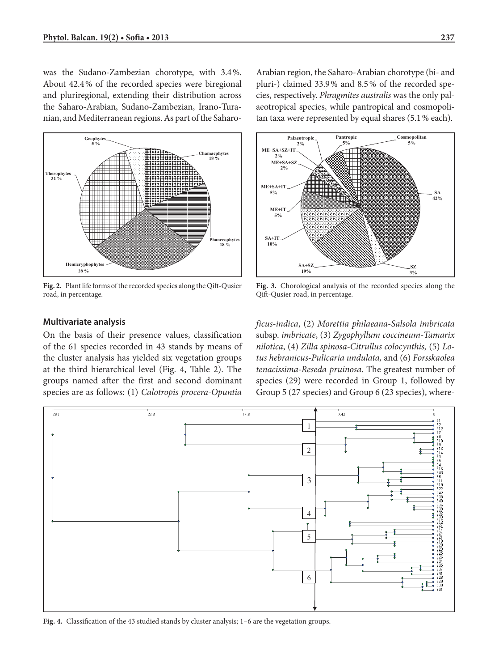was the Sudano-Zambezian chorotype, with 3.4 %. About 42.4 % of the recorded species were biregional and pluriregional, extending their distribution across the Saharo-Arabian, Sudano-Zambezian, Irano-Turanian, and Mediterranean regions. As part of the Saharo-



Fig. 2. Plant life forms of the recorded species along the Qift-Qusier road, in percentage.

Arabian region, the Saharo-Arabian chorotype (bi- and pluri-) claimed 33.9 % and 8.5 % of the recorded species, respectively. *Phragmites australis* was the only palaeotropical species, while pantropical and cosmopolitan taxa were represented by equal shares (5.1 % each).



**Fig. 3.** Chorological analysis of the recorded species along the Qift -Qusier road, in percentage.

#### **Multivariate analysis**

On the basis of their presence values, classification of the 61 species recorded in 43 stands by means of the cluster analysis has yielded six vegetation groups at the third hierarchical level (Fig. 4, Table 2). The groups named after the first and second dominant species are as follows: (1) *Calotropis procera-Opuntia*  *ficus-indica*, (2) *Morettia philaeana*-*Salsola imbricata*  subsp. *imbricate*, (3) *Zygophyllum coccineum-Tamarix nilotica*, (4) *Zilla spinosa-Citrullus colocynthis,* (5) *Lotus hebranicus-Pulicaria undulata,* and (6) *Forsskaolea tenacissima-Reseda pruinosa*. The greatest number of species (29) were recorded in Group 1, followed by Group 5 (27 species) and Group 6 (23 species), where-



Fig. 4. Classification of the 43 studied stands by cluster analysis; 1-6 are the vegetation groups.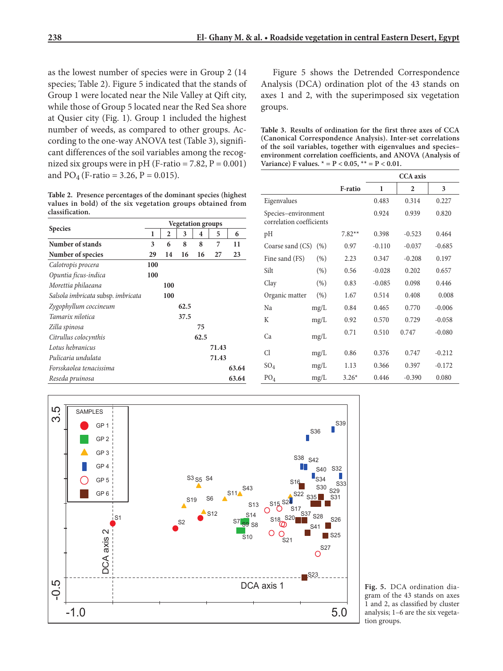as the lowest number of species were in Group 2 (14 species; Table 2). Figure 5 indicated that the stands of Group 1 were located near the Nile Valley at Qift city, while those of Group 5 located near the Red Sea shore at Qusier city (Fig. 1). Group 1 included the highest number of weeds, as compared to other groups. According to the one-way ANOVA test (Table 3), significant differences of the soil variables among the recognized six groups were in pH (F-ratio =  $7.82$ ,  $P = 0.001$ ) and  $PO_4$  (F-ratio = 3.26, P = 0.015).

**Table 2. Presence percentages of the dominant species (highest values in bold) of the six vegetation groups obtained from classification.**

|                                    | <b>Vegetation groups</b> |     |      |      |       |       |
|------------------------------------|--------------------------|-----|------|------|-------|-------|
| <b>Species</b>                     | 1                        | 2   | 3    | 4    | 5     | 6     |
| Number of stands                   | 3                        | 6   | 8    | 8    | 7     | 11    |
| Number of species                  | 29                       | 14  | 16   | 16   | 27    | 23    |
| Calotropis procera                 | 100                      |     |      |      |       |       |
| Opuntia ficus-indica               | 100                      |     |      |      |       |       |
| Morettia philaeana                 |                          | 100 |      |      |       |       |
| Salsola imbricata subsp. imbricata |                          | 100 |      |      |       |       |
| Zygophyllum coccineum              |                          |     | 62.5 |      |       |       |
| Tamarix nilotica                   |                          |     | 37.5 |      |       |       |
| Zilla spinosa                      |                          |     |      | 75   |       |       |
| Citrullus colocynthis              |                          |     |      | 62.5 |       |       |
| Lotus hebranicus                   |                          |     |      |      | 71.43 |       |
| Pulicaria undulata                 |                          |     |      |      | 71.43 |       |
| Forsskaolea tenacissima            |                          |     |      |      |       | 63.64 |
| Reseda pruinosa                    |                          |     |      |      |       | 63.64 |

Figure 5 shows the Detrended Correspondence Analysis (DCA) ordination plot of the 43 stands on axes 1 and 2, with the superimposed six vegetation groups.

**Table 3. Results of ordination for the first three axes of CCA (Canonical Correspondence Analysis). Inter-set correlations of the soil variables, together with eigenvalues and species– environment correlation coefficients, and ANOVA (Analysis of Variance**) **F** values.  $* = P < 0.05$ ,  $* = P < 0.01$ .

|                                                 |      |          | <b>CCA</b> axis |                |          |  |
|-------------------------------------------------|------|----------|-----------------|----------------|----------|--|
|                                                 |      | F-ratio  | 1               | $\overline{2}$ | 3        |  |
| Eigenvalues                                     |      |          | 0.483           | 0.314          | 0.227    |  |
| Species-environment<br>correlation coefficients |      |          | 0.924           | 0.939          | 0.820    |  |
| pH                                              |      | $7.82**$ | 0.398           | $-0.523$       | 0.464    |  |
| Coarse sand (CS)                                | (% ) | 0.97     | $-0.110$        | $-0.037$       | $-0.685$ |  |
| Fine sand (FS)                                  | (% ) | 2.23     | 0.347           | $-0.208$       | 0.197    |  |
| Silt                                            | (% ) | 0.56     | $-0.028$        | 0.202          | 0.657    |  |
| Clay                                            | (% ) | 0.83     | $-0.085$        | 0.098          | 0.446    |  |
| Organic matter                                  | (% ) | 1.67     | 0.514           | 0.408          | 0.008    |  |
| Na                                              | mg/L | 0.84     | 0.465           | 0.770          | $-0.006$ |  |
| K                                               | mg/L | 0.92     | 0.570           | 0.729          | $-0.058$ |  |
| Ca                                              | mg/L | 0.71     | 0.510           | 0.747          | $-0.080$ |  |
| C <sub>1</sub>                                  | mg/L | 0.86     | 0.376           | 0.747          | $-0.212$ |  |
| $SO_4$                                          | mg/L | 1.13     | 0.366           | 0.397          | $-0.172$ |  |
| PO <sub>4</sub>                                 | mg/L | $3.26*$  | 0.446           | $-0.390$       | 0.080    |  |



**Fig. 5.** DCA ordination diagram of the 43 stands on axes 1 and 2, as classified by cluster analysis; 1–6 are the six vegetation groups.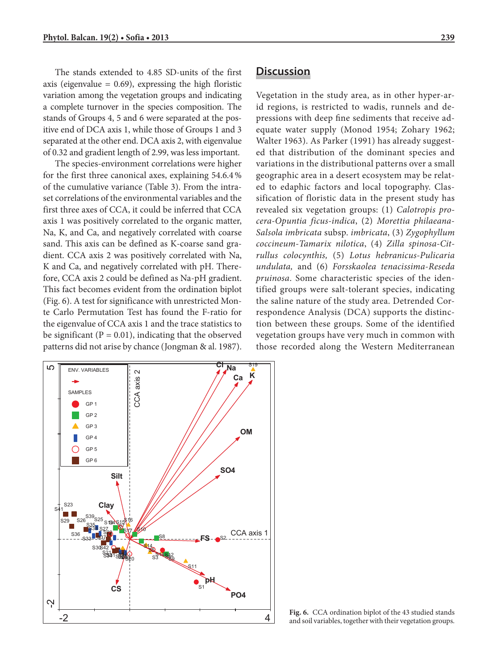The stands extended to 4.85 SD-units of the first axis (eigenvalue  $= 0.69$ ), expressing the high floristic variation among the vegetation groups and indicating a complete turnover in the species composition. The stands of Groups 4, 5 and 6 were separated at the positive end of DCA axis 1, while those of Groups 1 and 3 separated at the other end. DCA axis 2, with eigenvalue of 0.32 and gradient length of 2.99, was less important.

The species-environment correlations were higher for the first three canonical axes, explaining 54.6.4 % of the cumulative variance (Table 3). From the intraset correlations of the environmental variables and the first three axes of CCA, it could be inferred that CCA axis 1 was positively correlated to the organic matter, Na, K, and Ca, and negatively correlated with coarse sand. This axis can be defined as K-coarse sand gradient. CCA axis 2 was positively correlated with Na, K and Ca, and negatively correlated with pH. Therefore, CCA axis 2 could be defined as Na-pH gradient. This fact becomes evident from the ordination biplot (Fig. 6). A test for significance with unrestricted Monte Carlo Permutation Test has found the F-ratio for the eigenvalue of CCA axis 1 and the trace statistics to be significant ( $P = 0.01$ ), indicating that the observed patterns did not arise by chance (Jongman & al. 1987).

## **Discussion iscussion**

Vegetation in the study area, as in other hyper-arid regions, is restricted to wadis, runnels and depressions with deep fine sediments that receive adequate water supply (Monod 1954; Zohary 1962; Walter 1963). As Parker (1991) has already suggested that distribution of the dominant species and variations in the distributional patterns over a small geographic area in a desert ecosystem may be related to edaphic factors and local topography. Classification of floristic data in the present study has revealed six vegetation groups: (1) *Calotropis procera-Opuntia ficus-indica*, (2) *Morettia philaeana*-*Salsola imbricata* subsp. *imbricata*, (3) *Zygophyllum coccineum-Tamarix nilotica*, (4) *Zilla spinosa-Citrullus colocynthis,* (5) *Lotus hebranicus-Pulicaria undulata,* and (6) *Forsskaolea tenacissima-Reseda pruinosa*. Some characteristic species of the identified groups were salt-tolerant species, indicating the saline nature of the study area. Detrended Correspondence Analysis (DCA) supports the distinction between these groups. Some of the identified vegetation groups have very much in common with those recorded along the Western Mediterranean



**Fig. 6.** CCA ordination biplot of the 43 studied stands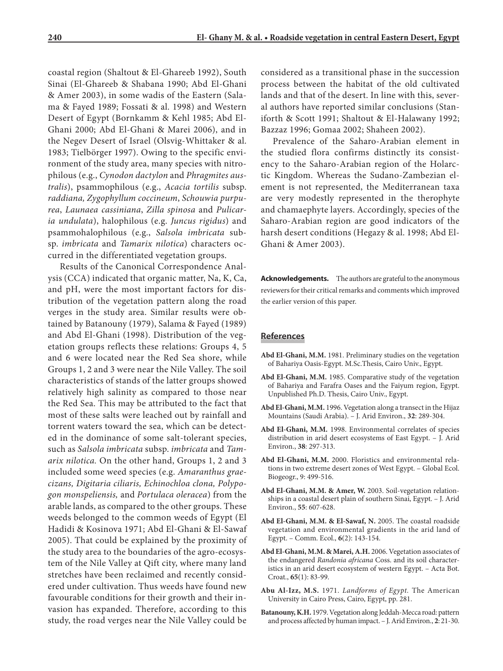coastal region (Shaltout & El-Ghareeb 1992), South Sinai (El-Ghareeb & Shabana 1990; Abd El-Ghani & Amer 2003), in some wadis of the Eastern (Salama & Fayed 1989; Fossati & al. 1998) and Western Desert of Egypt (Bornkamm & Kehl 1985; Abd El-Ghani 2000; Abd El-Ghani & Marei 2006), and in the Negev Desert of Israel (Olsvig-Whittaker & al. 1983; Tielbörger 1997). Owing to the specific environment of the study area, many species with nitrophilous (e.g., *Cynodon dactylon* and *Phragmites australis*), psammophilous (e.g., *Acacia tortilis* subsp. *raddiana, Zygophyllum coccineum*, *Schouwia purpurea*, *Launaea cassiniana*, *Zilla spinosa* and *Pulicaria undulata*), halophilous (e.g. *Juncus rigidus*) and psammohalophilous (e.g., *Salsola imbricata* subsp. *imbricata* and *Tamarix nilotica*) characters occurred in the differentiated vegetation groups.

Results of the Canonical Correspondence Analysis (CCA) indicated that organic matter, Na, K, Ca, and pH, were the most important factors for distribution of the vegetation pattern along the road verges in the study area. Similar results were obtained by Batanouny (1979), Salama & Fayed (1989) and Abd El-Ghani (1998). Distribution of the vegetation groups reflects these relations: Groups 4, 5 and 6 were located near the Red Sea shore, while Groups 1, 2 and 3 were near the Nile Valley. The soil characteristics of stands of the latter groups showed relatively high salinity as compared to those near the Red Sea. This may be attributed to the fact that most of these salts were leached out by rainfall and torrent waters toward the sea, which can be detected in the dominance of some salt-tolerant species, such as *Salsola imbricata* subsp. *imbricata* and *Tamarix nilotica.* On the other hand, Groups 1, 2 and 3 included some weed species (e.g. *Amaranthus graecizans, Digitaria ciliaris, Echinochloa clona, Polypogon monspeliensis,* and *Portulaca oleracea*) from the arable lands, as compared to the other groups. These weeds belonged to the common weeds of Egypt (El Hadidi & Kosinova 1971; Abd El-Ghani & El-Sawaf 2005). That could be explained by the proximity of the study area to the boundaries of the agro-ecosystem of the Nile Valley at Qift city, where many land stretches have been reclaimed and recently considered under cultivation. Thus weeds have found new favourable conditions for their growth and their invasion has expanded. Therefore, according to this study, the road verges near the Nile Valley could be considered as a transitional phase in the succession process between the habitat of the old cultivated lands and that of the desert. In line with this, several authors have reported similar conclusions (Staniforth & Scott 1991; Shaltout & El-Halawany 1992; Bazzaz 1996; Gomaa 2002; Shaheen 2002).

Prevalence of the Saharo-Arabian element in the studied flora confirms distinctly its consistency to the Saharo-Arabian region of the Holarctic Kingdom. Whereas the Sudano-Zambezian element is not represented, the Mediterranean taxa are very modestly represented in the therophyte and chamaephyte layers. Accordingly, species of the Saharo-Arabian region are good indicators of the harsh desert conditions (Hegazy & al. 1998; Abd El-Ghani & Amer 2003).

**Acknowledgements.** The authors are grateful to the anonymous reviewers for their critical remarks and comments which improved the earlier version of this paper.

### **References eferences**

- **Abd El-Ghani, M.M.** 1981. Preliminary studies on the vegetation of Bahariya Oasis-Egypt. M.Sc.Thesis, Cairo Univ., Egypt.
- **Abd El-Ghani, M.M.** 1985. Comparative study of the vegetation of Bahariya and Farafra Oases and the Faiyum region, Egypt. Unpublished Ph.D. Thesis, Cairo Univ., Egypt.
- **Abd El-Ghani, M.M.** 1996. Vegetation along a transect in the Hijaz Mountains (Saudi Arabia). – J. Arid Environ., **32**: 289-304.
- **Abd El-Ghani, M.M.** 1998. Environmental correlates of species distribution in arid desert ecosystems of East Egypt. – J. Arid Environ., **38**: 297-313.
- **Abd El-Ghani, M.M.** 2000. Floristics and environmental relations in two extreme desert zones of West Egypt. – Global Ecol. Biogeogr., 9: 499-516.
- **Abd El-Ghani, M.M. & Amer, W.** 2003. Soil-vegetation relationships in a coastal desert plain of southern Sinai, Egypt. – J. Arid Environ., **55**: 607-628.
- **Abd El-Ghani, M.M. & El-Sawaf, N.** 2005. The coastal roadside vegetation and environmental gradients in the arid land of Egypt. – Comm. Ecol., **6**(2): 143-154.
- **Abd El-Ghani, M.M. & Marei, A.H.** 2006. Vegetation associates of the endangered *Randonia africana* Coss. and its soil characteristics in an arid desert ecosystem of western Egypt. – Acta Bot. Croat., **65**(1): 83-99.
- **Abu Al-Izz, M.S.** 1971. *Landforms of Egypt.* The American University in Cairo Press, Cairo, Egypt, pp. 281.
- **Batanouny, K.H.** 1979. Vegetation along Jeddah-Mecca road: pattern and process affected by human impact. – J. Arid Environ., **2**: 21-30.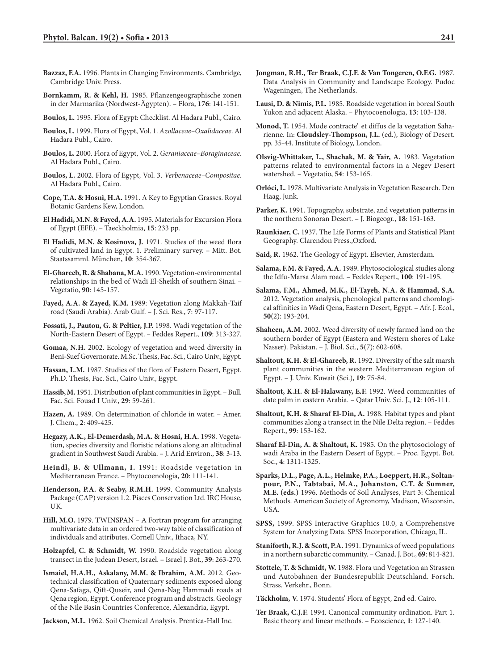- **Bazzaz, F.A.** 1996. Plants in Changing Environments. Cambridge, Cambridge Univ. Press.
- **Bornkamm, R. & Kehl, H.** 1985. Pflanzengeographische zonen in der Marmarika (Nordwest-Ägypten). – Flora, **176**: 141-151.
- **Boulos, L.** 1995. Flora of Egypt: Checklist. Al Hadara Publ., Cairo.
- **Boulos, L.** 1999. Flora of Egypt, Vol. 1. *Azollaceae–Oxalidaceae*. Al Hadara Publ., Cairo.
- **Boulos, L.** 2000. Flora of Egypt, Vol. 2. *Geraniaceae–Boraginaceae*. Al Hadara Publ., Cairo.
- **Boulos, L.** 2002. Flora of Egypt, Vol. 3. *Verbenaceae–Compositae*. Al Hadara Publ., Cairo.
- **Cope, T.A. & Hosni, H.A.** 1991. A Key to Egyptian Grasses. Royal Botanic Gardens Kew, London.
- **El Hadidi, M.N. & Fayed, A.A.** 1995. Materials for Excursion Flora of Egypt (EFE). – Taeckholmia, **15**: 233 pp.
- **El Hadidi, M.N. & Kosinova, J.** 1971. Studies of the weed flora of cultivated land in Egypt. 1. Preliminary survey. – Mitt. Bot. Staatssamml. München, **10**: 354-367.
- **El-Ghareeb, R. & Shabana, M.A.** 1990. Vegetation-environmental relationships in the bed of Wadi El-Sheikh of southern Sinai. – Vegetatio, **90**: 145-157.
- **Fayed, A.A. & Zayed, K.M.** 1989: Vegetation along Makkah-Taif road (Saudi Arabia). Arab Gulf. – J. Sci. Res., **7**: 97-117.
- **Fossati, J., Pautou, G. & Peltier, J.P.** 1998. Wadi vegetation of the North-Eastern Desert of Egypt. – Feddes Repert., **109**: 313-327.
- **Gomaa, N.H.** 2002. Ecology of vegetation and weed diversity in Beni-Suef Governorate. M.Sc. Thesis, Fac. Sci., Cairo Univ., Egypt.
- **Hassan, L.M.** 1987. Studies of the flora of Eastern Desert, Egypt. Ph.D. Thesis, Fac. Sci., Cairo Univ., Egypt.
- **Hassib, M.** 1951. Distribution of plant communities in Egypt. Bull. Fac. Sci. Fouad I Univ., **29**: 59-261.
- **Hazen, A.** 1989. On determination of chloride in water. Amer. J. Chem., **2**: 409-425.
- Hegazy, A.K., El-Demerdash, M.A. & Hosni, H.A. 1998. Vegetation, species diversity and floristic relations along an altitudinal gradient in Southwest Saudi Arabia. – J. Arid Environ., **38**: 3-13.
- **Heindl, B. & Ullmann, I.** 1991: Roadside vegetation in Mediterranean France. – Phytocoenologia, **20**: 111-141.
- **Henderson, P.A. & Seaby, R.M.H.** 1999. Community Analysis Package (CAP) version 1.2. Pisces Conservation Ltd. IRC House, UK.
- **Hill, M.O.** 1979. TWINSPAN A Fortran program for arranging multivariate data in an ordered two-way table of classification of individuals and attributes. Cornell Univ., Ithaca, NY.
- **Holzapfel, C. & Schmidt, W.** 1990. Roadside vegetation along transect in the Judean Desert, Israel. – Israel J. Bot., **39**: 263-270.
- **Ismaiel, H.A.H., Askalany, M.M. & Ibrahim, A.M.** 2012. Geotechnical classification of Quaternary sediments exposed along Qena-Safaga, Qift-Quseir, and Qena-Nag Hammadi roads at Qena region, Egypt. Conference program and abstracts. Geology of the Nile Basin Countries Conference, Alexandria, Egypt.

**Jackson, M.L.** 1962. Soil Chemical Analysis. Prentica-Hall Inc.

- **Jongman, R.H., Ter Braak, C.J.F. & Van Tongeren, O.F.G.** 1987. Data Analysis in Community and Landscape Ecology. Pudoc Wageningen, The Netherlands.
- **Lausi, D. & Nimis, P.L.** 1985. Roadside vegetation in boreal South Yukon and adjacent Alaska. – Phytocoenologia, **13**: 103-138.
- **Monod, T.** 1954. Mode contracte' et diffus de la vegetation Saharienne. In: **Cloudsley-Thompson, J.L.** (ed.), Biology of Desert. pp. 35-44. Institute of Biology, London.
- **Olsvig-Whittaker, L., Shachak, M. & Yair, A.** 1983. Vegetation patterns related to environmental factors in a Negev Desert watershed. – Vegetatio, **54**: 153-165.
- **Orlóci, L.** 1978. Multivariate Analysis in Vegetation Research. Den Haag, Junk.
- **Parker, K.** 1991. Topography, substrate, and vegetation patterns in the northern Sonoran Desert. – J. Biogeogr., **18**: 151-163.
- **Raunkiaer, C.** 1937. The Life Forms of Plants and Statistical Plant Geography. Clarendon Press.,Oxford.
- **Said, R.** 1962. The Geology of Egypt. Elsevier, Amsterdam.
- **Salama, F.M. & Fayed, A.A.** 1989. Phytosociological studies along the Idfu-Marsa Alam road. – Feddes Repert., **100**: 191-195.
- **Salama, F.M., Ahmed, M.K., El-Tayeh, N.A. & Hammad, S.A.** 2012. Vegetation analysis, phenological patterns and chorological affinities in Wadi Qena, Eastern Desert, Egypt. – Afr. J. Ecol., **50**(2): 193-204.
- **Shaheen, A.M.** 2002. Weed diversity of newly farmed land on the southern border of Egypt (Eastern and Western shores of Lake Nasser). Pakistan. – J. Biol. Sci., **5**(7): 602-608.
- **Shaltout, K.H. & El-Ghareeb, R.** 1992. Diversity of the salt marsh plant communities in the western Mediterranean region of Egypt. – J. Univ. Kuwait (Sci.), **19**: 75-84.
- **Shaltout, K.H. & El-Halawany, E.F.** 1992. Weed communities of date palm in eastern Arabia. – Qatar Univ. Sci. J., **12**: 105-111.
- **Shaltout, K.H. & Sharaf El-Din, A.** 1988. Habitat types and plant communities along a transect in the Nile Delta region. – Feddes Repert., **99**: 153-162.
- **Sharaf El-Din, A. & Shaltout, K.** 1985. On the phytosociology of wadi Araba in the Eastern Desert of Egypt. – Proc. Egypt. Bot. Soc., **4**: 1311-1325.
- **Sparks, D.L., Page, A.L., Helmke, P.A., Loeppert, H.R., Soltanpour, P.N., Tabtabai, M.A., Johanston, C.T. & Sumner, M.E. (eds.)** 1996. Methods of Soil Analyses, Part 3: Chemical Methods. American Society of Agronomy, Madison, Wisconsin, USA.
- **SPSS,** 1999. SPSS Interactive Graphics 10.0, a Comprehensive System for Analyzing Data. SPSS Incorporation, Chicago, IL.
- **Staniforth, R.J. & Scott, P.A.** 1991. Dynamics of weed populations in a northern subarctic community. – Canad. J. Bot., **69**: 814-821.
- **Stottele, T. & Schmidt, W.** 1988. Flora und Vegetation an Strassen und Autobahnen der Bundesrepublik Deutschland. Forsch. Strass. Verkehr., Bonn.
- **Täckholm, V.** 1974. Students' Flora of Egypt, 2nd ed. Cairo.
- **Ter Braak, C.J.F.** 1994. Canonical community ordination. Part 1. Basic theory and linear methods. – Ecoscience, **1**: 127-140.